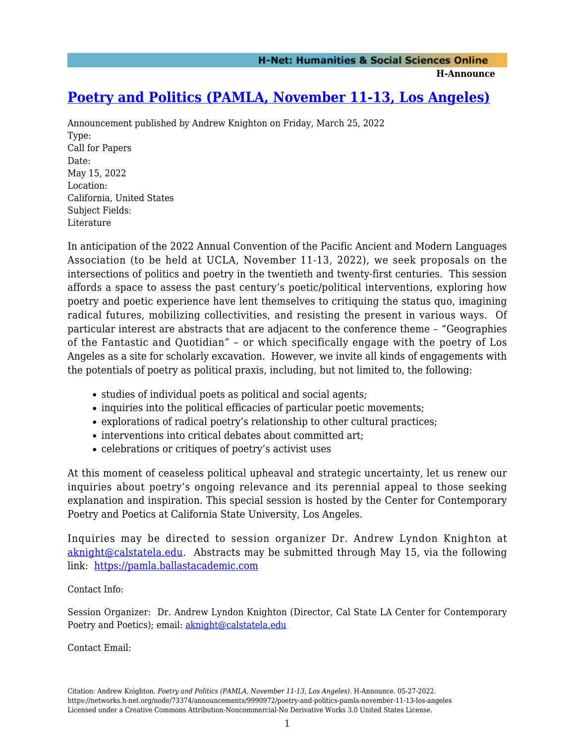## **[Poetry and Politics \(PAMLA, November 11-13, Los Angeles\)](https://networks.h-net.org/node/73374/announcements/9990972/poetry-and-politics-pamla-november-11-13-los-angeles)**

Announcement published by Andrew Knighton on Friday, March 25, 2022 Type: Call for Papers Date: May 15, 2022 Location: California, United States Subject Fields: Literature

In anticipation of the 2022 Annual Convention of the Pacific Ancient and Modern Languages Association (to be held at UCLA, November 11-13, 2022), we seek proposals on the intersections of politics and poetry in the twentieth and twenty-first centuries. This session affords a space to assess the past century's poetic/political interventions, exploring how poetry and poetic experience have lent themselves to critiquing the status quo, imagining radical futures, mobilizing collectivities, and resisting the present in various ways. Of particular interest are abstracts that are adjacent to the conference theme – "Geographies of the Fantastic and Quotidian" – or which specifically engage with the poetry of Los Angeles as a site for scholarly excavation. However, we invite all kinds of engagements with the potentials of poetry as political praxis, including, but not limited to, the following:

- studies of individual poets as political and social agents;
- inquiries into the political efficacies of particular poetic movements;
- explorations of radical poetry's relationship to other cultural practices;
- interventions into critical debates about committed art;
- celebrations or critiques of poetry's activist uses

At this moment of ceaseless political upheaval and strategic uncertainty, let us renew our inquiries about poetry's ongoing relevance and its perennial appeal to those seeking explanation and inspiration. This special session is hosted by the Center for Contemporary Poetry and Poetics at California State University, Los Angeles.

Inquiries may be directed to session organizer Dr. Andrew Lyndon Knighton at [aknight@calstatela.edu.](mailto:aknight@calstatela.edu) Abstracts may be submitted through May 15, via the following link: <https://pamla.ballastacademic.com>

## Contact Info:

Session Organizer: Dr. Andrew Lyndon Knighton (Director, Cal State LA Center for Contemporary Poetry and Poetics); email: [aknight@calstatela.edu](mailto:aknight@calstatela.edu)

Contact Email: